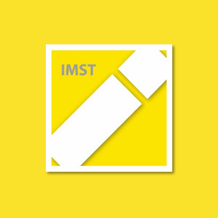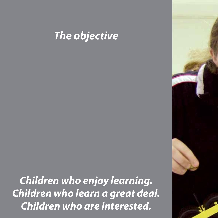#### *The objective*

*Children who enjoy learning. Children who learn a great deal. Children who are interested.*

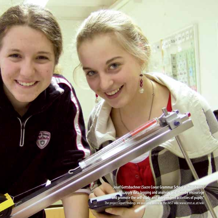**Josef Gottsbachner (Sacre Coeur Grammar School in Pressbaum) "To apply data logging and analysis, and thereby encourage and promote the self-study and independent activities of pupils"** The project report findings are available online in the IMST wiki www.imst.ac.at/wiki

ŀ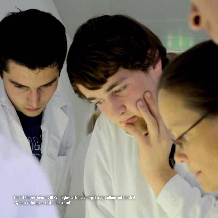**Konrad Steiner (formerly HLFS – higher technical college for agriculture and forestry) "Synthetic biology on trial in the school"**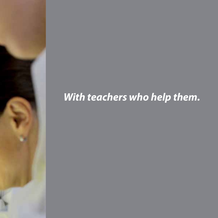#### *With teachers who help them.*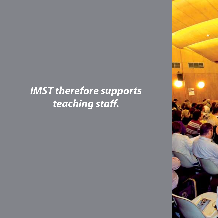## *IMST therefore supports teaching staff.*

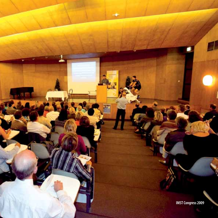**IMST Congress 2009**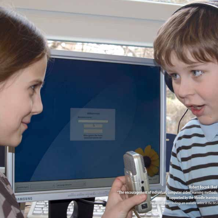**Robert Boczek (Bad** "The encouragement of individual, computer-aided learning methods i supported by the Moodle learning The project report findings are available online in the IMST

AMSUNG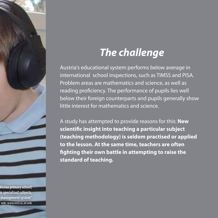

**Robert Boczek (Bad Vöslau primary school) "The encouragement of individual, computer-aided learning methods in specialised subjects,** management system<sup>"</sup> wiki: www.imst.ac.at/wiki: w

## *The challenge*

Austria's educational system performs below average in international school inspections, such as TIMSS and PISA. Problem areas are mathematics and science, as well as reading proficiency. The performance of pupils lies well below their foreign counterparts and pupils generally show little interest for mathematics and science.

A study has attempted to provide reasons for this: **New scientific insight into teaching a particular subject (teaching methodology) is seldom practised or applied to the lesson. At the same time, teachers are often fighting their own battle in attempting to raise the standard of teaching.**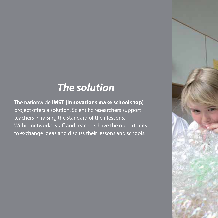#### *The solution*

The nationwide **IMST (Innovations make schools top)** project offers a solution. Scientific researchers support teachers in raising the standard of their lessons. Within networks, staff and teachers have the opportunity to exchange ideas and discuss their lessons and schools.

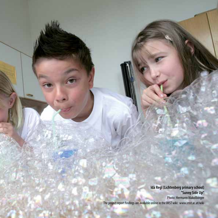**Ida Regl (Lichtenberg primary school) "Sunny Side Up"** Photo: Hermann Wakolbinger The project report findings are available online in the IMST wiki: www.imst.ac.at/wiki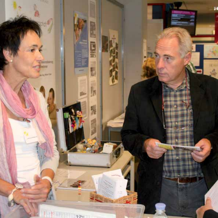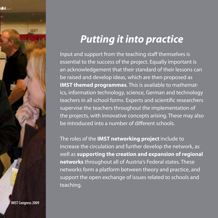

#### *Putting it into practice*

Input and support from the teaching staff themselves is essential to the success of the project. Equally important is an acknowledgement that their standard of their lessons can be raised and develop ideas, which are then proposed as **IMST themed programmes**. This is available to mathematics, information technology, science, German and technology teachers in all school forms. Experts and scientific researchers supervise the teachers throughout the implementation of the projects, with innovative concepts arising. These may also be introduced into a number of different schools.

The roles of the **IMST networking project** include to increase the circulation and further develop the network, as well as **supporting the creation and expansion of regional networks** throughout all of Austria's Federal states. These networks form a platform between theory and practice, and support the open exchange of issues related to schools and teaching.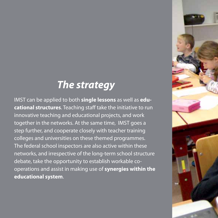#### *The strategy*

IMST can be applied to both **single lessons** as well as **educational structures**. Teaching staff take the initiative to run innovative teaching and educational projects, and work together in the networks. At the same time, IMST goes a step further, and cooperate closely with teacher training colleges and universities on these themed programmes. The federal school inspectors are also active within these networks, and irrespective of the long-term school structure debate, take the opportunity to establish workable cooperations and assist in making use of **synergies within the educational system**.

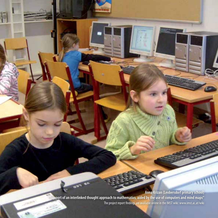**Anna Krizan (Leobersdorf primary school) "Support of an interlinked thought approach to mathematics, aided by the use of computers and mind maps"** The project report findings are available online in the IMST wiki: www.imst.ac.at/wiki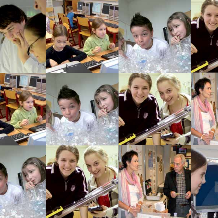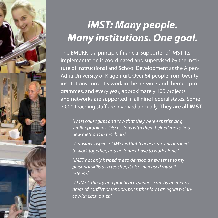# *IMST: Many people. Many institutions. One goal.*

The BMUKK is a principle financial supporter of IMST. Its implementation is coordinated and supervised by the Institute of Instructional and School Development at the Alpen-Adria University of Klagenfurt. Over 84 people from twenty institutions currently work in the network and themed programmes, and every year, approximately 100 projects and networks are supported in all nine Federal states. Some 7,000 teaching staff are involved annually. **They are all IMST.**

*"I met colleagues and saw that they were experiencing similar problems. Discussions with them helped me to find new methods in teaching."*

*"A positive aspect of IMST is that teachers are encouraged to work together, and no longer have to work alone."*

*"IMST not only helped me to develop a new sense to my personal skills as a teacher, it also increased my selfesteem."*

*"At IMST, theory and practical experience are by no means areas of conflict or tension, but rather form an equal balance with each other."*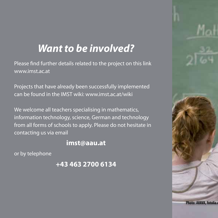#### *Want to be involved?*

Please find further details related to the project on this link www.imst.ac.at

Projects that have already been successfully implemented can be found in the IMST wiki: www.imst.ac.at/wiki

We welcome all teachers specialising in mathematics, information technology, science, German and technology from all forms of schools to apply. Please do not hesitate in contacting us via email

#### **imst@aau.at**

or by telephone

**+43 463 2700 6134**

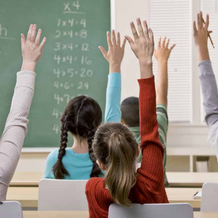